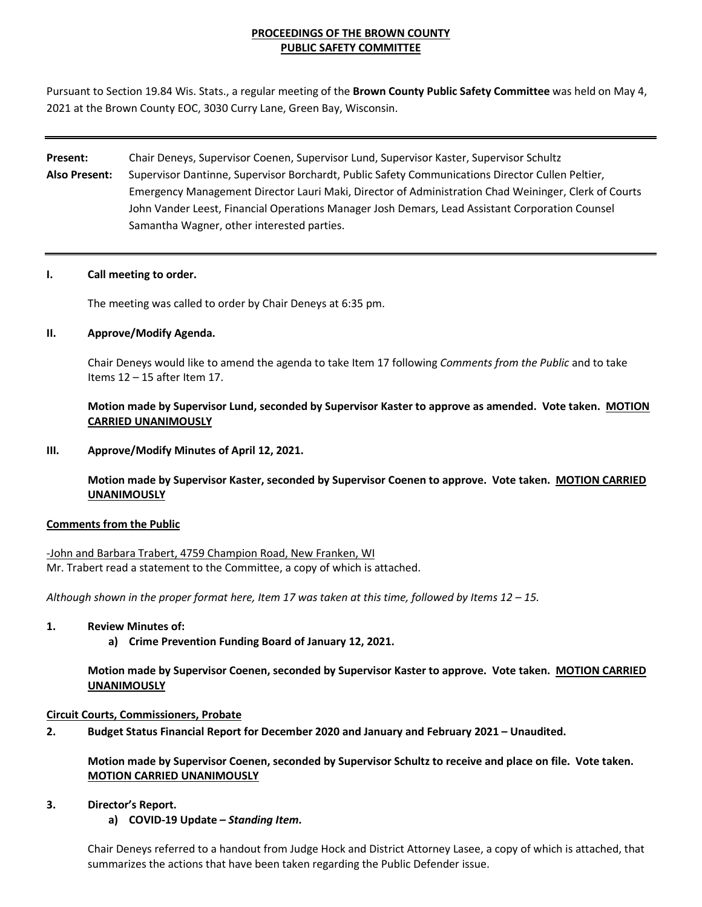#### **PROCEEDINGS OF THE BROWN COUNTY PUBLIC SAFETY COMMITTEE**

Pursuant to Section 19.84 Wis. Stats., a regular meeting of the **Brown County Public Safety Committee** was held on May 4, 2021 at the Brown County EOC, 3030 Curry Lane, Green Bay, Wisconsin.

# **Present:** Chair Deneys, Supervisor Coenen, Supervisor Lund, Supervisor Kaster, Supervisor Schultz **Also Present:** Supervisor Dantinne, Supervisor Borchardt, Public Safety Communications Director Cullen Peltier, Emergency Management Director Lauri Maki, Director of Administration Chad Weininger, Clerk of Courts John Vander Leest, Financial Operations Manager Josh Demars, Lead Assistant Corporation Counsel Samantha Wagner, other interested parties.

#### **I. Call meeting to order.**

The meeting was called to order by Chair Deneys at 6:35 pm.

#### **II. Approve/Modify Agenda.**

Chair Deneys would like to amend the agenda to take Item 17 following *Comments from the Public* and to take Items 12 – 15 after Item 17.

**Motion made by Supervisor Lund, seconded by Supervisor Kaster to approve as amended. Vote taken. MOTION CARRIED UNANIMOUSLY**

#### **III. Approve/Modify Minutes of April 12, 2021.**

**Motion made by Supervisor Kaster, seconded by Supervisor Coenen to approve. Vote taken. MOTION CARRIED UNANIMOUSLY**

#### **Comments from the Public**

-John and Barbara Trabert, 4759 Champion Road, New Franken, WI Mr. Trabert read a statement to the Committee, a copy of which is attached.

*Although shown in the proper format here, Item 17 was taken at this time, followed by Items 12 – 15.* 

#### **1. Review Minutes of:**

**a) Crime Prevention Funding Board of January 12, 2021.**

**Motion made by Supervisor Coenen, seconded by Supervisor Kaster to approve. Vote taken. MOTION CARRIED UNANIMOUSLY**

#### **Circuit Courts, Commissioners, Probate**

**2. Budget Status Financial Report for December 2020 and January and February 2021 – Unaudited.**

**Motion made by Supervisor Coenen, seconded by Supervisor Schultz to receive and place on file. Vote taken. MOTION CARRIED UNANIMOUSLY**

#### **3. Director's Report.**

**a) COVID-19 Update –** *Standing Item***.** 

Chair Deneys referred to a handout from Judge Hock and District Attorney Lasee, a copy of which is attached, that summarizes the actions that have been taken regarding the Public Defender issue.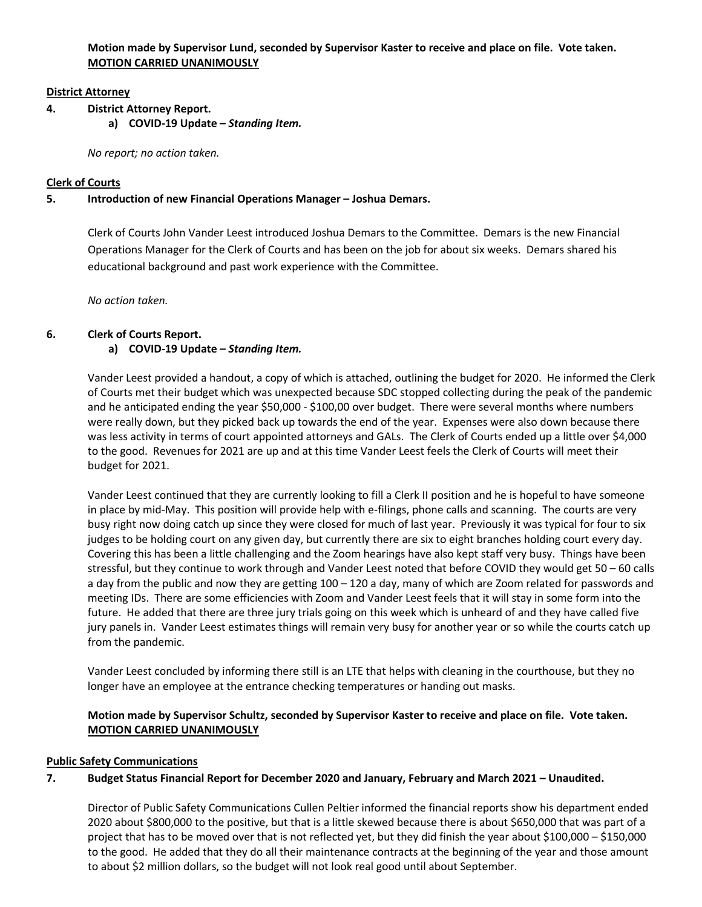**Motion made by Supervisor Lund, seconded by Supervisor Kaster to receive and place on file. Vote taken. MOTION CARRIED UNANIMOUSLY**

#### **District Attorney**

- **4. District Attorney Report.** 
	- **a) COVID-19 Update** *Standing Item.*

*No report; no action taken.* 

## **Clerk of Courts**

## **5. Introduction of new Financial Operations Manager – Joshua Demars.**

Clerk of Courts John Vander Leest introduced Joshua Demars to the Committee. Demars is the new Financial Operations Manager for the Clerk of Courts and has been on the job for about six weeks. Demars shared his educational background and past work experience with the Committee.

*No action taken.* 

## **6. Clerk of Courts Report.**

## **a) COVID-19 Update –** *Standing Item.*

Vander Leest provided a handout, a copy of which is attached, outlining the budget for 2020. He informed the Clerk of Courts met their budget which was unexpected because SDC stopped collecting during the peak of the pandemic and he anticipated ending the year \$50,000 - \$100,00 over budget. There were several months where numbers were really down, but they picked back up towards the end of the year. Expenses were also down because there was less activity in terms of court appointed attorneys and GALs. The Clerk of Courts ended up a little over \$4,000 to the good. Revenues for 2021 are up and at this time Vander Leest feels the Clerk of Courts will meet their budget for 2021.

Vander Leest continued that they are currently looking to fill a Clerk II position and he is hopeful to have someone in place by mid-May. This position will provide help with e-filings, phone calls and scanning. The courts are very busy right now doing catch up since they were closed for much of last year. Previously it was typical for four to six judges to be holding court on any given day, but currently there are six to eight branches holding court every day. Covering this has been a little challenging and the Zoom hearings have also kept staff very busy. Things have been stressful, but they continue to work through and Vander Leest noted that before COVID they would get 50 – 60 calls a day from the public and now they are getting 100 – 120 a day, many of which are Zoom related for passwords and meeting IDs. There are some efficiencies with Zoom and Vander Leest feels that it will stay in some form into the future. He added that there are three jury trials going on this week which is unheard of and they have called five jury panels in. Vander Leest estimates things will remain very busy for another year or so while the courts catch up from the pandemic.

Vander Leest concluded by informing there still is an LTE that helps with cleaning in the courthouse, but they no longer have an employee at the entrance checking temperatures or handing out masks.

# **Motion made by Supervisor Schultz, seconded by Supervisor Kaster to receive and place on file. Vote taken. MOTION CARRIED UNANIMOUSLY**

## **Public Safety Communications**

# **7. Budget Status Financial Report for December 2020 and January, February and March 2021 – Unaudited.**

Director of Public Safety Communications Cullen Peltier informed the financial reports show his department ended 2020 about \$800,000 to the positive, but that is a little skewed because there is about \$650,000 that was part of a project that has to be moved over that is not reflected yet, but they did finish the year about \$100,000 – \$150,000 to the good. He added that they do all their maintenance contracts at the beginning of the year and those amount to about \$2 million dollars, so the budget will not look real good until about September.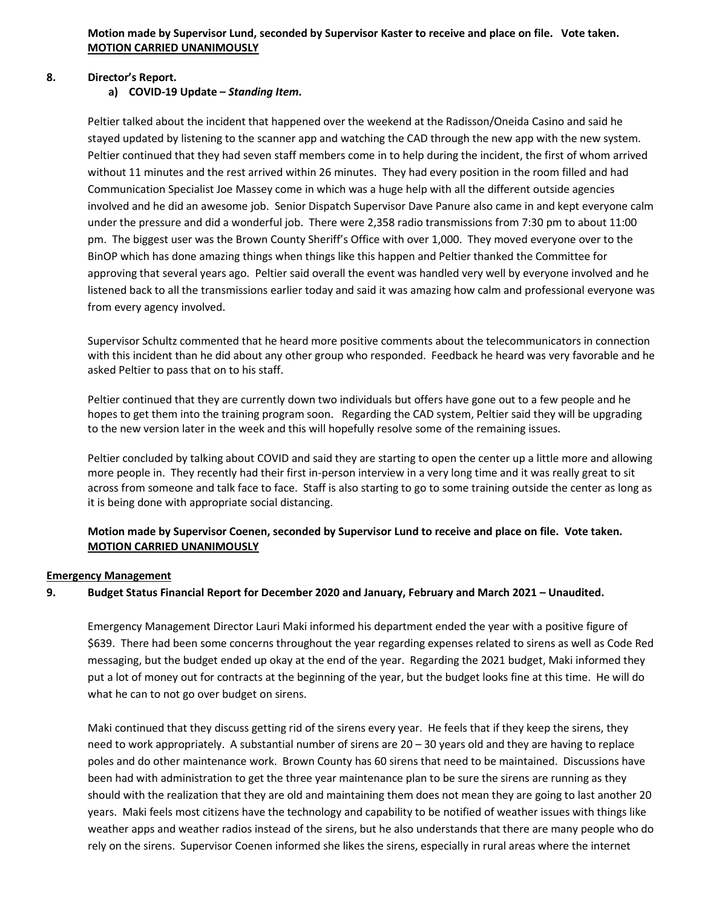## **8. Director's Report.**

#### **a) COVID-19 Update –** *Standing Item***.**

Peltier talked about the incident that happened over the weekend at the Radisson/Oneida Casino and said he stayed updated by listening to the scanner app and watching the CAD through the new app with the new system. Peltier continued that they had seven staff members come in to help during the incident, the first of whom arrived without 11 minutes and the rest arrived within 26 minutes. They had every position in the room filled and had Communication Specialist Joe Massey come in which was a huge help with all the different outside agencies involved and he did an awesome job. Senior Dispatch Supervisor Dave Panure also came in and kept everyone calm under the pressure and did a wonderful job. There were 2,358 radio transmissions from 7:30 pm to about 11:00 pm. The biggest user was the Brown County Sheriff's Office with over 1,000. They moved everyone over to the BinOP which has done amazing things when things like this happen and Peltier thanked the Committee for approving that several years ago. Peltier said overall the event was handled very well by everyone involved and he listened back to all the transmissions earlier today and said it was amazing how calm and professional everyone was from every agency involved.

Supervisor Schultz commented that he heard more positive comments about the telecommunicators in connection with this incident than he did about any other group who responded. Feedback he heard was very favorable and he asked Peltier to pass that on to his staff.

Peltier continued that they are currently down two individuals but offers have gone out to a few people and he hopes to get them into the training program soon. Regarding the CAD system, Peltier said they will be upgrading to the new version later in the week and this will hopefully resolve some of the remaining issues.

Peltier concluded by talking about COVID and said they are starting to open the center up a little more and allowing more people in. They recently had their first in-person interview in a very long time and it was really great to sit across from someone and talk face to face. Staff is also starting to go to some training outside the center as long as it is being done with appropriate social distancing.

## **Motion made by Supervisor Coenen, seconded by Supervisor Lund to receive and place on file. Vote taken. MOTION CARRIED UNANIMOUSLY**

#### **Emergency Management**

## **9. Budget Status Financial Report for December 2020 and January, February and March 2021 – Unaudited.**

Emergency Management Director Lauri Maki informed his department ended the year with a positive figure of \$639. There had been some concerns throughout the year regarding expenses related to sirens as well as Code Red messaging, but the budget ended up okay at the end of the year. Regarding the 2021 budget, Maki informed they put a lot of money out for contracts at the beginning of the year, but the budget looks fine at this time. He will do what he can to not go over budget on sirens.

Maki continued that they discuss getting rid of the sirens every year. He feels that if they keep the sirens, they need to work appropriately. A substantial number of sirens are 20 – 30 years old and they are having to replace poles and do other maintenance work. Brown County has 60 sirens that need to be maintained. Discussions have been had with administration to get the three year maintenance plan to be sure the sirens are running as they should with the realization that they are old and maintaining them does not mean they are going to last another 20 years. Maki feels most citizens have the technology and capability to be notified of weather issues with things like weather apps and weather radios instead of the sirens, but he also understands that there are many people who do rely on the sirens. Supervisor Coenen informed she likes the sirens, especially in rural areas where the internet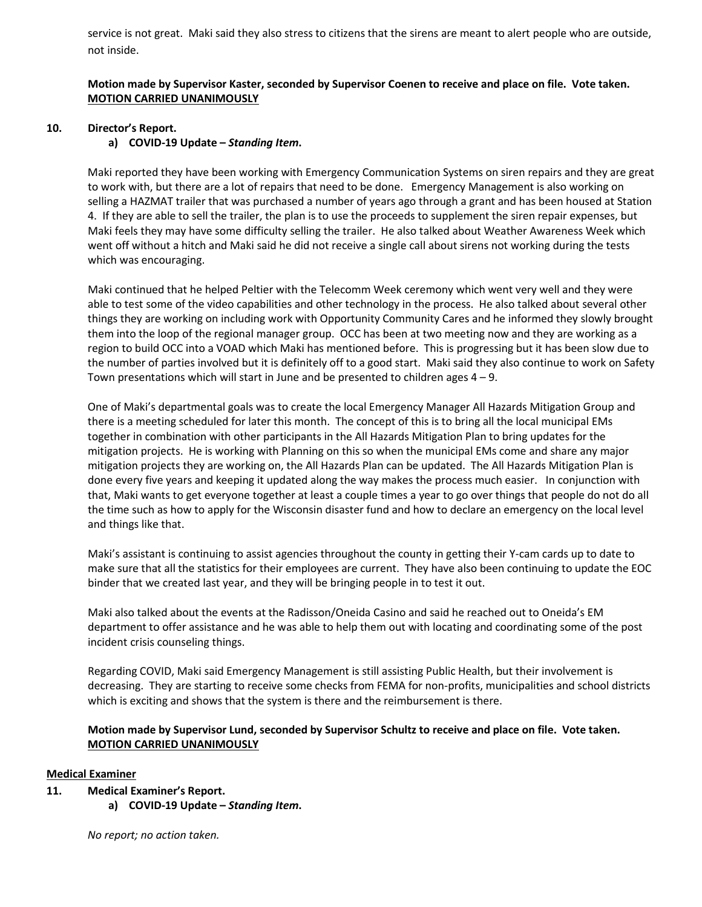service is not great. Maki said they also stress to citizens that the sirens are meant to alert people who are outside, not inside.

## **Motion made by Supervisor Kaster, seconded by Supervisor Coenen to receive and place on file. Vote taken. MOTION CARRIED UNANIMOUSLY**

#### **10. Director's Report.**

#### **a) COVID-19 Update –** *Standing Item***.**

Maki reported they have been working with Emergency Communication Systems on siren repairs and they are great to work with, but there are a lot of repairs that need to be done. Emergency Management is also working on selling a HAZMAT trailer that was purchased a number of years ago through a grant and has been housed at Station 4. If they are able to sell the trailer, the plan is to use the proceeds to supplement the siren repair expenses, but Maki feels they may have some difficulty selling the trailer. He also talked about Weather Awareness Week which went off without a hitch and Maki said he did not receive a single call about sirens not working during the tests which was encouraging.

Maki continued that he helped Peltier with the Telecomm Week ceremony which went very well and they were able to test some of the video capabilities and other technology in the process. He also talked about several other things they are working on including work with Opportunity Community Cares and he informed they slowly brought them into the loop of the regional manager group. OCC has been at two meeting now and they are working as a region to build OCC into a VOAD which Maki has mentioned before. This is progressing but it has been slow due to the number of parties involved but it is definitely off to a good start. Maki said they also continue to work on Safety Town presentations which will start in June and be presented to children ages  $4 - 9$ .

One of Maki's departmental goals was to create the local Emergency Manager All Hazards Mitigation Group and there is a meeting scheduled for later this month. The concept of this is to bring all the local municipal EMs together in combination with other participants in the All Hazards Mitigation Plan to bring updates for the mitigation projects. He is working with Planning on this so when the municipal EMs come and share any major mitigation projects they are working on, the All Hazards Plan can be updated. The All Hazards Mitigation Plan is done every five years and keeping it updated along the way makes the process much easier. In conjunction with that, Maki wants to get everyone together at least a couple times a year to go over things that people do not do all the time such as how to apply for the Wisconsin disaster fund and how to declare an emergency on the local level and things like that.

Maki's assistant is continuing to assist agencies throughout the county in getting their Y-cam cards up to date to make sure that all the statistics for their employees are current. They have also been continuing to update the EOC binder that we created last year, and they will be bringing people in to test it out.

Maki also talked about the events at the Radisson/Oneida Casino and said he reached out to Oneida's EM department to offer assistance and he was able to help them out with locating and coordinating some of the post incident crisis counseling things.

Regarding COVID, Maki said Emergency Management is still assisting Public Health, but their involvement is decreasing. They are starting to receive some checks from FEMA for non-profits, municipalities and school districts which is exciting and shows that the system is there and the reimbursement is there.

## **Motion made by Supervisor Lund, seconded by Supervisor Schultz to receive and place on file. Vote taken. MOTION CARRIED UNANIMOUSLY**

#### **Medical Examiner**

- **11. Medical Examiner's Report.**
	- **a) COVID-19 Update** *Standing Item***.**

*No report; no action taken.*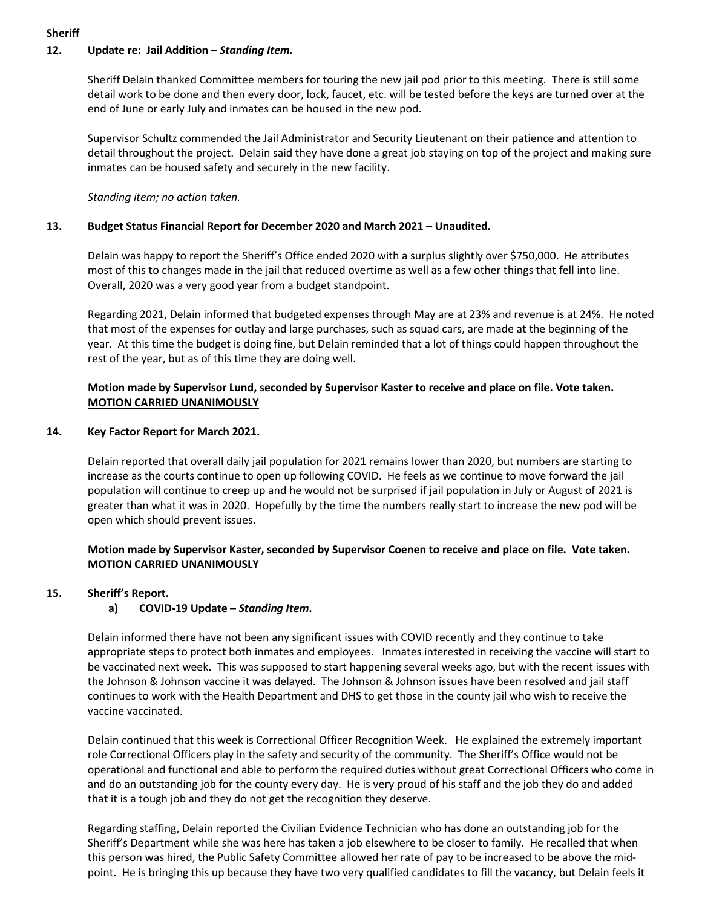# **Sheriff**

## **12. Update re: Jail Addition –** *Standing Item.*

Sheriff Delain thanked Committee members for touring the new jail pod prior to this meeting. There is still some detail work to be done and then every door, lock, faucet, etc. will be tested before the keys are turned over at the end of June or early July and inmates can be housed in the new pod.

Supervisor Schultz commended the Jail Administrator and Security Lieutenant on their patience and attention to detail throughout the project. Delain said they have done a great job staying on top of the project and making sure inmates can be housed safety and securely in the new facility.

*Standing item; no action taken.*

#### **13. Budget Status Financial Report for December 2020 and March 2021 – Unaudited.**

Delain was happy to report the Sheriff's Office ended 2020 with a surplus slightly over \$750,000. He attributes most of this to changes made in the jail that reduced overtime as well as a few other things that fell into line. Overall, 2020 was a very good year from a budget standpoint.

Regarding 2021, Delain informed that budgeted expenses through May are at 23% and revenue is at 24%. He noted that most of the expenses for outlay and large purchases, such as squad cars, are made at the beginning of the year. At this time the budget is doing fine, but Delain reminded that a lot of things could happen throughout the rest of the year, but as of this time they are doing well.

## **Motion made by Supervisor Lund, seconded by Supervisor Kaster to receive and place on file. Vote taken. MOTION CARRIED UNANIMOUSLY**

#### **14. Key Factor Report for March 2021.**

Delain reported that overall daily jail population for 2021 remains lower than 2020, but numbers are starting to increase as the courts continue to open up following COVID. He feels as we continue to move forward the jail population will continue to creep up and he would not be surprised if jail population in July or August of 2021 is greater than what it was in 2020. Hopefully by the time the numbers really start to increase the new pod will be open which should prevent issues.

## **Motion made by Supervisor Kaster, seconded by Supervisor Coenen to receive and place on file. Vote taken. MOTION CARRIED UNANIMOUSLY**

## **15. Sheriff's Report.**

## **a) COVID-19 Update –** *Standing Item***.**

Delain informed there have not been any significant issues with COVID recently and they continue to take appropriate steps to protect both inmates and employees. Inmates interested in receiving the vaccine will start to be vaccinated next week. This was supposed to start happening several weeks ago, but with the recent issues with the Johnson & Johnson vaccine it was delayed. The Johnson & Johnson issues have been resolved and jail staff continues to work with the Health Department and DHS to get those in the county jail who wish to receive the vaccine vaccinated.

Delain continued that this week is Correctional Officer Recognition Week. He explained the extremely important role Correctional Officers play in the safety and security of the community. The Sheriff's Office would not be operational and functional and able to perform the required duties without great Correctional Officers who come in and do an outstanding job for the county every day. He is very proud of his staff and the job they do and added that it is a tough job and they do not get the recognition they deserve.

Regarding staffing, Delain reported the Civilian Evidence Technician who has done an outstanding job for the Sheriff's Department while she was here has taken a job elsewhere to be closer to family. He recalled that when this person was hired, the Public Safety Committee allowed her rate of pay to be increased to be above the midpoint. He is bringing this up because they have two very qualified candidates to fill the vacancy, but Delain feels it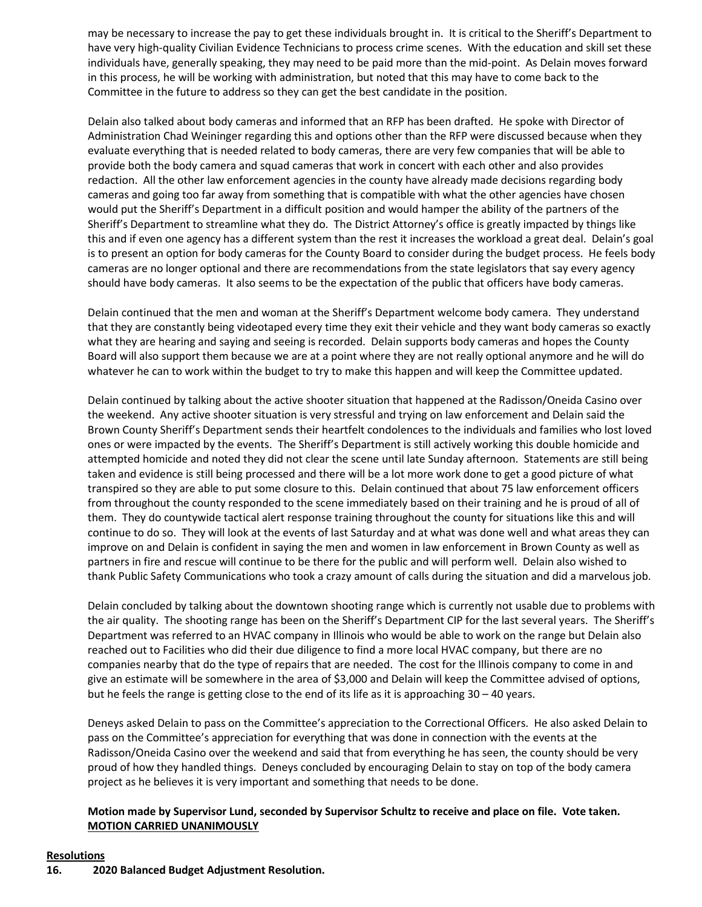may be necessary to increase the pay to get these individuals brought in. It is critical to the Sheriff's Department to have very high-quality Civilian Evidence Technicians to process crime scenes. With the education and skill set these individuals have, generally speaking, they may need to be paid more than the mid-point. As Delain moves forward in this process, he will be working with administration, but noted that this may have to come back to the Committee in the future to address so they can get the best candidate in the position.

Delain also talked about body cameras and informed that an RFP has been drafted. He spoke with Director of Administration Chad Weininger regarding this and options other than the RFP were discussed because when they evaluate everything that is needed related to body cameras, there are very few companies that will be able to provide both the body camera and squad cameras that work in concert with each other and also provides redaction. All the other law enforcement agencies in the county have already made decisions regarding body cameras and going too far away from something that is compatible with what the other agencies have chosen would put the Sheriff's Department in a difficult position and would hamper the ability of the partners of the Sheriff's Department to streamline what they do. The District Attorney's office is greatly impacted by things like this and if even one agency has a different system than the rest it increases the workload a great deal. Delain's goal is to present an option for body cameras for the County Board to consider during the budget process. He feels body cameras are no longer optional and there are recommendations from the state legislators that say every agency should have body cameras. It also seems to be the expectation of the public that officers have body cameras.

Delain continued that the men and woman at the Sheriff's Department welcome body camera. They understand that they are constantly being videotaped every time they exit their vehicle and they want body cameras so exactly what they are hearing and saying and seeing is recorded. Delain supports body cameras and hopes the County Board will also support them because we are at a point where they are not really optional anymore and he will do whatever he can to work within the budget to try to make this happen and will keep the Committee updated.

Delain continued by talking about the active shooter situation that happened at the Radisson/Oneida Casino over the weekend. Any active shooter situation is very stressful and trying on law enforcement and Delain said the Brown County Sheriff's Department sends their heartfelt condolences to the individuals and families who lost loved ones or were impacted by the events. The Sheriff's Department is still actively working this double homicide and attempted homicide and noted they did not clear the scene until late Sunday afternoon. Statements are still being taken and evidence is still being processed and there will be a lot more work done to get a good picture of what transpired so they are able to put some closure to this. Delain continued that about 75 law enforcement officers from throughout the county responded to the scene immediately based on their training and he is proud of all of them. They do countywide tactical alert response training throughout the county for situations like this and will continue to do so. They will look at the events of last Saturday and at what was done well and what areas they can improve on and Delain is confident in saying the men and women in law enforcement in Brown County as well as partners in fire and rescue will continue to be there for the public and will perform well. Delain also wished to thank Public Safety Communications who took a crazy amount of calls during the situation and did a marvelous job.

Delain concluded by talking about the downtown shooting range which is currently not usable due to problems with the air quality. The shooting range has been on the Sheriff's Department CIP for the last several years. The Sheriff's Department was referred to an HVAC company in Illinois who would be able to work on the range but Delain also reached out to Facilities who did their due diligence to find a more local HVAC company, but there are no companies nearby that do the type of repairs that are needed. The cost for the Illinois company to come in and give an estimate will be somewhere in the area of \$3,000 and Delain will keep the Committee advised of options, but he feels the range is getting close to the end of its life as it is approaching  $30 - 40$  years.

Deneys asked Delain to pass on the Committee's appreciation to the Correctional Officers. He also asked Delain to pass on the Committee's appreciation for everything that was done in connection with the events at the Radisson/Oneida Casino over the weekend and said that from everything he has seen, the county should be very proud of how they handled things. Deneys concluded by encouraging Delain to stay on top of the body camera project as he believes it is very important and something that needs to be done.

#### **Motion made by Supervisor Lund, seconded by Supervisor Schultz to receive and place on file. Vote taken. MOTION CARRIED UNANIMOUSLY**

#### **Resolutions**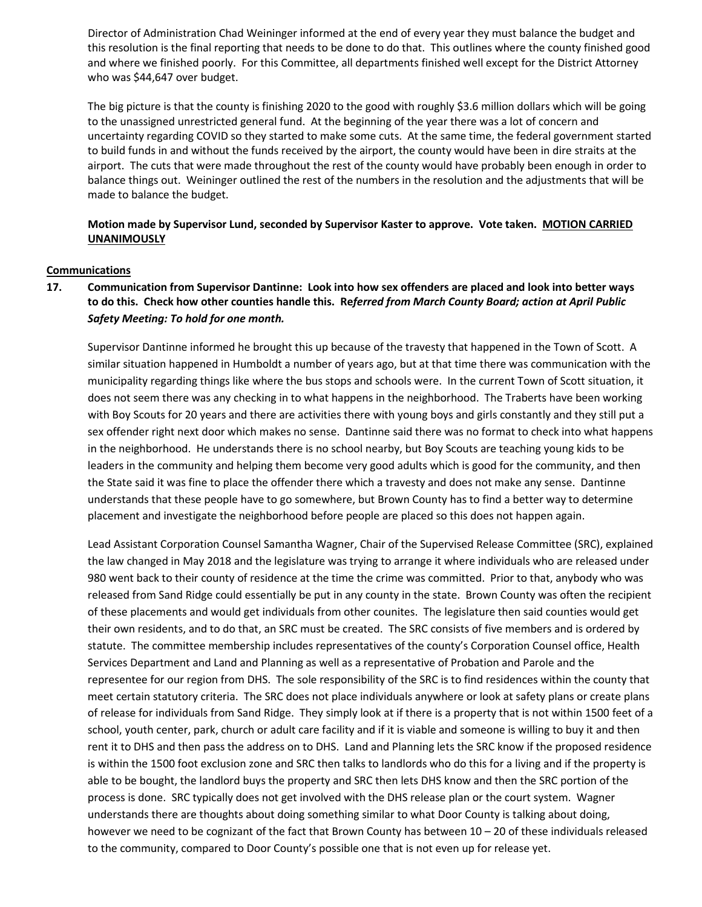Director of Administration Chad Weininger informed at the end of every year they must balance the budget and this resolution is the final reporting that needs to be done to do that. This outlines where the county finished good and where we finished poorly. For this Committee, all departments finished well except for the District Attorney who was \$44,647 over budget.

The big picture is that the county is finishing 2020 to the good with roughly \$3.6 million dollars which will be going to the unassigned unrestricted general fund. At the beginning of the year there was a lot of concern and uncertainty regarding COVID so they started to make some cuts. At the same time, the federal government started to build funds in and without the funds received by the airport, the county would have been in dire straits at the airport. The cuts that were made throughout the rest of the county would have probably been enough in order to balance things out. Weininger outlined the rest of the numbers in the resolution and the adjustments that will be made to balance the budget.

**Motion made by Supervisor Lund, seconded by Supervisor Kaster to approve. Vote taken. MOTION CARRIED UNANIMOUSLY**

#### **Communications**

# **17. Communication from Supervisor Dantinne: Look into how sex offenders are placed and look into better ways to do this. Check how other counties handle this. Re***ferred from March County Board; action at April Public Safety Meeting: To hold for one month.*

Supervisor Dantinne informed he brought this up because of the travesty that happened in the Town of Scott. A similar situation happened in Humboldt a number of years ago, but at that time there was communication with the municipality regarding things like where the bus stops and schools were. In the current Town of Scott situation, it does not seem there was any checking in to what happens in the neighborhood. The Traberts have been working with Boy Scouts for 20 years and there are activities there with young boys and girls constantly and they still put a sex offender right next door which makes no sense. Dantinne said there was no format to check into what happens in the neighborhood. He understands there is no school nearby, but Boy Scouts are teaching young kids to be leaders in the community and helping them become very good adults which is good for the community, and then the State said it was fine to place the offender there which a travesty and does not make any sense. Dantinne understands that these people have to go somewhere, but Brown County has to find a better way to determine placement and investigate the neighborhood before people are placed so this does not happen again.

Lead Assistant Corporation Counsel Samantha Wagner, Chair of the Supervised Release Committee (SRC), explained the law changed in May 2018 and the legislature was trying to arrange it where individuals who are released under 980 went back to their county of residence at the time the crime was committed. Prior to that, anybody who was released from Sand Ridge could essentially be put in any county in the state. Brown County was often the recipient of these placements and would get individuals from other counites. The legislature then said counties would get their own residents, and to do that, an SRC must be created. The SRC consists of five members and is ordered by statute. The committee membership includes representatives of the county's Corporation Counsel office, Health Services Department and Land and Planning as well as a representative of Probation and Parole and the representee for our region from DHS. The sole responsibility of the SRC is to find residences within the county that meet certain statutory criteria. The SRC does not place individuals anywhere or look at safety plans or create plans of release for individuals from Sand Ridge. They simply look at if there is a property that is not within 1500 feet of a school, youth center, park, church or adult care facility and if it is viable and someone is willing to buy it and then rent it to DHS and then pass the address on to DHS. Land and Planning lets the SRC know if the proposed residence is within the 1500 foot exclusion zone and SRC then talks to landlords who do this for a living and if the property is able to be bought, the landlord buys the property and SRC then lets DHS know and then the SRC portion of the process is done. SRC typically does not get involved with the DHS release plan or the court system. Wagner understands there are thoughts about doing something similar to what Door County is talking about doing, however we need to be cognizant of the fact that Brown County has between 10 – 20 of these individuals released to the community, compared to Door County's possible one that is not even up for release yet.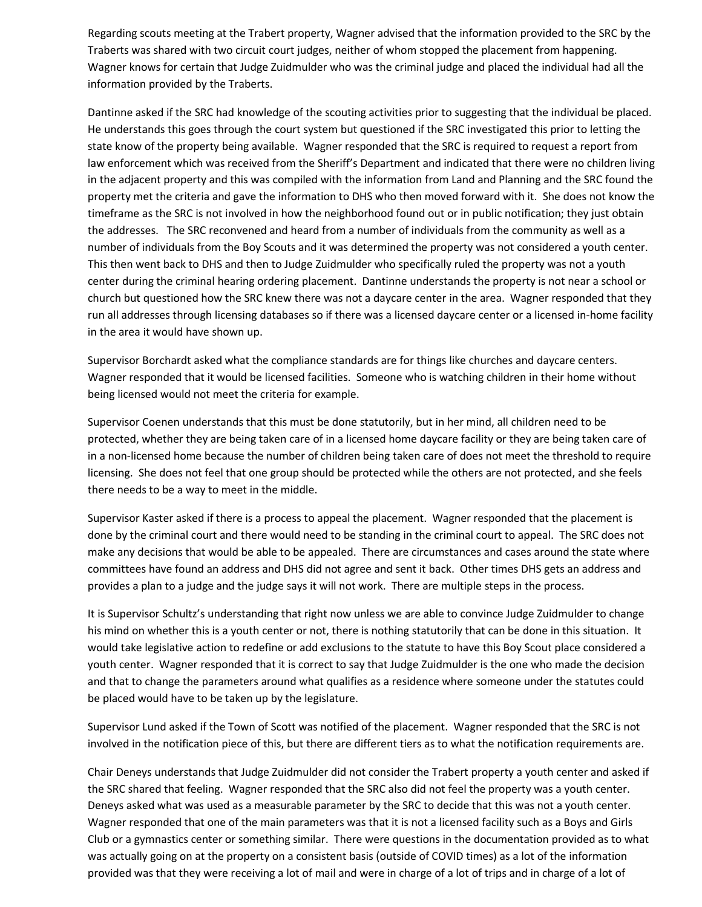Regarding scouts meeting at the Trabert property, Wagner advised that the information provided to the SRC by the Traberts was shared with two circuit court judges, neither of whom stopped the placement from happening. Wagner knows for certain that Judge Zuidmulder who was the criminal judge and placed the individual had all the information provided by the Traberts.

Dantinne asked if the SRC had knowledge of the scouting activities prior to suggesting that the individual be placed. He understands this goes through the court system but questioned if the SRC investigated this prior to letting the state know of the property being available. Wagner responded that the SRC is required to request a report from law enforcement which was received from the Sheriff's Department and indicated that there were no children living in the adjacent property and this was compiled with the information from Land and Planning and the SRC found the property met the criteria and gave the information to DHS who then moved forward with it. She does not know the timeframe as the SRC is not involved in how the neighborhood found out or in public notification; they just obtain the addresses. The SRC reconvened and heard from a number of individuals from the community as well as a number of individuals from the Boy Scouts and it was determined the property was not considered a youth center. This then went back to DHS and then to Judge Zuidmulder who specifically ruled the property was not a youth center during the criminal hearing ordering placement. Dantinne understands the property is not near a school or church but questioned how the SRC knew there was not a daycare center in the area. Wagner responded that they run all addresses through licensing databases so if there was a licensed daycare center or a licensed in-home facility in the area it would have shown up.

Supervisor Borchardt asked what the compliance standards are for things like churches and daycare centers. Wagner responded that it would be licensed facilities. Someone who is watching children in their home without being licensed would not meet the criteria for example.

Supervisor Coenen understands that this must be done statutorily, but in her mind, all children need to be protected, whether they are being taken care of in a licensed home daycare facility or they are being taken care of in a non-licensed home because the number of children being taken care of does not meet the threshold to require licensing. She does not feel that one group should be protected while the others are not protected, and she feels there needs to be a way to meet in the middle.

Supervisor Kaster asked if there is a process to appeal the placement. Wagner responded that the placement is done by the criminal court and there would need to be standing in the criminal court to appeal. The SRC does not make any decisions that would be able to be appealed. There are circumstances and cases around the state where committees have found an address and DHS did not agree and sent it back. Other times DHS gets an address and provides a plan to a judge and the judge says it will not work. There are multiple steps in the process.

It is Supervisor Schultz's understanding that right now unless we are able to convince Judge Zuidmulder to change his mind on whether this is a youth center or not, there is nothing statutorily that can be done in this situation. It would take legislative action to redefine or add exclusions to the statute to have this Boy Scout place considered a youth center. Wagner responded that it is correct to say that Judge Zuidmulder is the one who made the decision and that to change the parameters around what qualifies as a residence where someone under the statutes could be placed would have to be taken up by the legislature.

Supervisor Lund asked if the Town of Scott was notified of the placement. Wagner responded that the SRC is not involved in the notification piece of this, but there are different tiers as to what the notification requirements are.

Chair Deneys understands that Judge Zuidmulder did not consider the Trabert property a youth center and asked if the SRC shared that feeling. Wagner responded that the SRC also did not feel the property was a youth center. Deneys asked what was used as a measurable parameter by the SRC to decide that this was not a youth center. Wagner responded that one of the main parameters was that it is not a licensed facility such as a Boys and Girls Club or a gymnastics center or something similar. There were questions in the documentation provided as to what was actually going on at the property on a consistent basis (outside of COVID times) as a lot of the information provided was that they were receiving a lot of mail and were in charge of a lot of trips and in charge of a lot of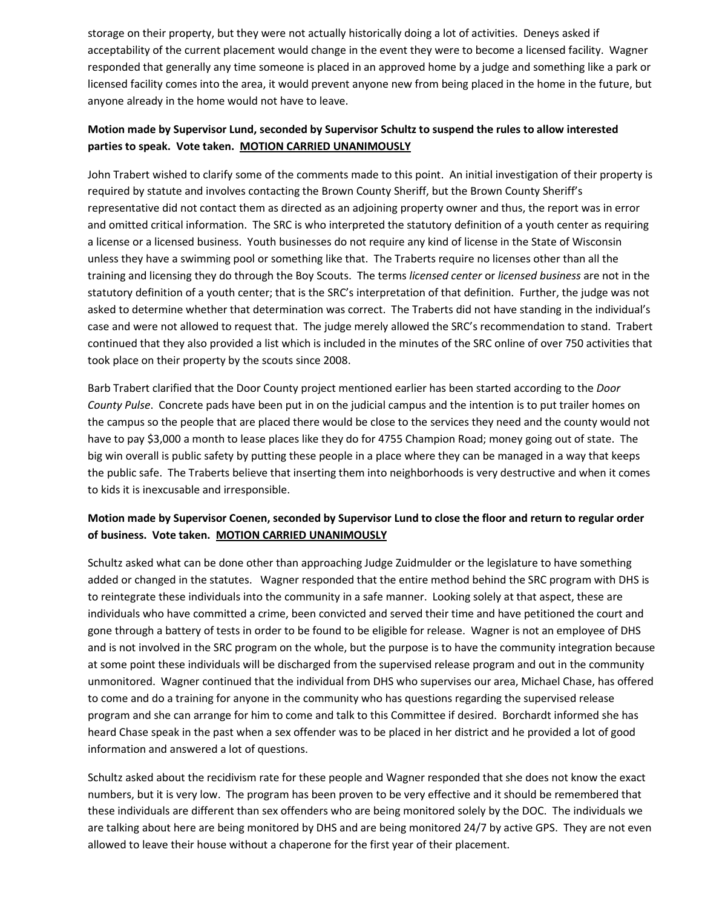storage on their property, but they were not actually historically doing a lot of activities. Deneys asked if acceptability of the current placement would change in the event they were to become a licensed facility. Wagner responded that generally any time someone is placed in an approved home by a judge and something like a park or licensed facility comes into the area, it would prevent anyone new from being placed in the home in the future, but anyone already in the home would not have to leave.

# **Motion made by Supervisor Lund, seconded by Supervisor Schultz to suspend the rules to allow interested parties to speak. Vote taken. MOTION CARRIED UNANIMOUSLY**

John Trabert wished to clarify some of the comments made to this point. An initial investigation of their property is required by statute and involves contacting the Brown County Sheriff, but the Brown County Sheriff's representative did not contact them as directed as an adjoining property owner and thus, the report was in error and omitted critical information. The SRC is who interpreted the statutory definition of a youth center as requiring a license or a licensed business. Youth businesses do not require any kind of license in the State of Wisconsin unless they have a swimming pool or something like that. The Traberts require no licenses other than all the training and licensing they do through the Boy Scouts. The terms *licensed center* or *licensed business* are not in the statutory definition of a youth center; that is the SRC's interpretation of that definition. Further, the judge was not asked to determine whether that determination was correct. The Traberts did not have standing in the individual's case and were not allowed to request that. The judge merely allowed the SRC's recommendation to stand. Trabert continued that they also provided a list which is included in the minutes of the SRC online of over 750 activities that took place on their property by the scouts since 2008.

Barb Trabert clarified that the Door County project mentioned earlier has been started according to the *Door County Pulse*. Concrete pads have been put in on the judicial campus and the intention is to put trailer homes on the campus so the people that are placed there would be close to the services they need and the county would not have to pay \$3,000 a month to lease places like they do for 4755 Champion Road; money going out of state. The big win overall is public safety by putting these people in a place where they can be managed in a way that keeps the public safe. The Traberts believe that inserting them into neighborhoods is very destructive and when it comes to kids it is inexcusable and irresponsible.

# **Motion made by Supervisor Coenen, seconded by Supervisor Lund to close the floor and return to regular order of business. Vote taken. MOTION CARRIED UNANIMOUSLY**

Schultz asked what can be done other than approaching Judge Zuidmulder or the legislature to have something added or changed in the statutes. Wagner responded that the entire method behind the SRC program with DHS is to reintegrate these individuals into the community in a safe manner. Looking solely at that aspect, these are individuals who have committed a crime, been convicted and served their time and have petitioned the court and gone through a battery of tests in order to be found to be eligible for release. Wagner is not an employee of DHS and is not involved in the SRC program on the whole, but the purpose is to have the community integration because at some point these individuals will be discharged from the supervised release program and out in the community unmonitored. Wagner continued that the individual from DHS who supervises our area, Michael Chase, has offered to come and do a training for anyone in the community who has questions regarding the supervised release program and she can arrange for him to come and talk to this Committee if desired. Borchardt informed she has heard Chase speak in the past when a sex offender was to be placed in her district and he provided a lot of good information and answered a lot of questions.

Schultz asked about the recidivism rate for these people and Wagner responded that she does not know the exact numbers, but it is very low. The program has been proven to be very effective and it should be remembered that these individuals are different than sex offenders who are being monitored solely by the DOC. The individuals we are talking about here are being monitored by DHS and are being monitored 24/7 by active GPS. They are not even allowed to leave their house without a chaperone for the first year of their placement.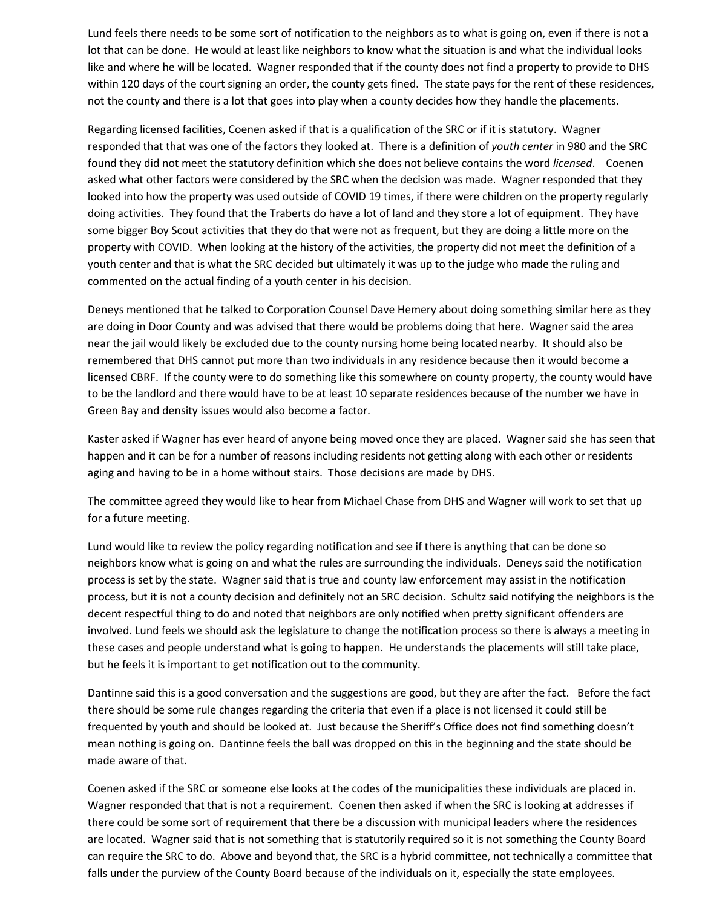Lund feels there needs to be some sort of notification to the neighbors as to what is going on, even if there is not a lot that can be done. He would at least like neighbors to know what the situation is and what the individual looks like and where he will be located. Wagner responded that if the county does not find a property to provide to DHS within 120 days of the court signing an order, the county gets fined. The state pays for the rent of these residences, not the county and there is a lot that goes into play when a county decides how they handle the placements.

Regarding licensed facilities, Coenen asked if that is a qualification of the SRC or if it is statutory. Wagner responded that that was one of the factors they looked at. There is a definition of *youth center* in 980 and the SRC found they did not meet the statutory definition which she does not believe contains the word *licensed*. Coenen asked what other factors were considered by the SRC when the decision was made. Wagner responded that they looked into how the property was used outside of COVID 19 times, if there were children on the property regularly doing activities. They found that the Traberts do have a lot of land and they store a lot of equipment. They have some bigger Boy Scout activities that they do that were not as frequent, but they are doing a little more on the property with COVID. When looking at the history of the activities, the property did not meet the definition of a youth center and that is what the SRC decided but ultimately it was up to the judge who made the ruling and commented on the actual finding of a youth center in his decision.

Deneys mentioned that he talked to Corporation Counsel Dave Hemery about doing something similar here as they are doing in Door County and was advised that there would be problems doing that here. Wagner said the area near the jail would likely be excluded due to the county nursing home being located nearby. It should also be remembered that DHS cannot put more than two individuals in any residence because then it would become a licensed CBRF. If the county were to do something like this somewhere on county property, the county would have to be the landlord and there would have to be at least 10 separate residences because of the number we have in Green Bay and density issues would also become a factor.

Kaster asked if Wagner has ever heard of anyone being moved once they are placed. Wagner said she has seen that happen and it can be for a number of reasons including residents not getting along with each other or residents aging and having to be in a home without stairs. Those decisions are made by DHS.

The committee agreed they would like to hear from Michael Chase from DHS and Wagner will work to set that up for a future meeting.

Lund would like to review the policy regarding notification and see if there is anything that can be done so neighbors know what is going on and what the rules are surrounding the individuals. Deneys said the notification process is set by the state. Wagner said that is true and county law enforcement may assist in the notification process, but it is not a county decision and definitely not an SRC decision. Schultz said notifying the neighbors is the decent respectful thing to do and noted that neighbors are only notified when pretty significant offenders are involved. Lund feels we should ask the legislature to change the notification process so there is always a meeting in these cases and people understand what is going to happen. He understands the placements will still take place, but he feels it is important to get notification out to the community.

Dantinne said this is a good conversation and the suggestions are good, but they are after the fact. Before the fact there should be some rule changes regarding the criteria that even if a place is not licensed it could still be frequented by youth and should be looked at. Just because the Sheriff's Office does not find something doesn't mean nothing is going on. Dantinne feels the ball was dropped on this in the beginning and the state should be made aware of that.

Coenen asked if the SRC or someone else looks at the codes of the municipalities these individuals are placed in. Wagner responded that that is not a requirement. Coenen then asked if when the SRC is looking at addresses if there could be some sort of requirement that there be a discussion with municipal leaders where the residences are located. Wagner said that is not something that is statutorily required so it is not something the County Board can require the SRC to do. Above and beyond that, the SRC is a hybrid committee, not technically a committee that falls under the purview of the County Board because of the individuals on it, especially the state employees.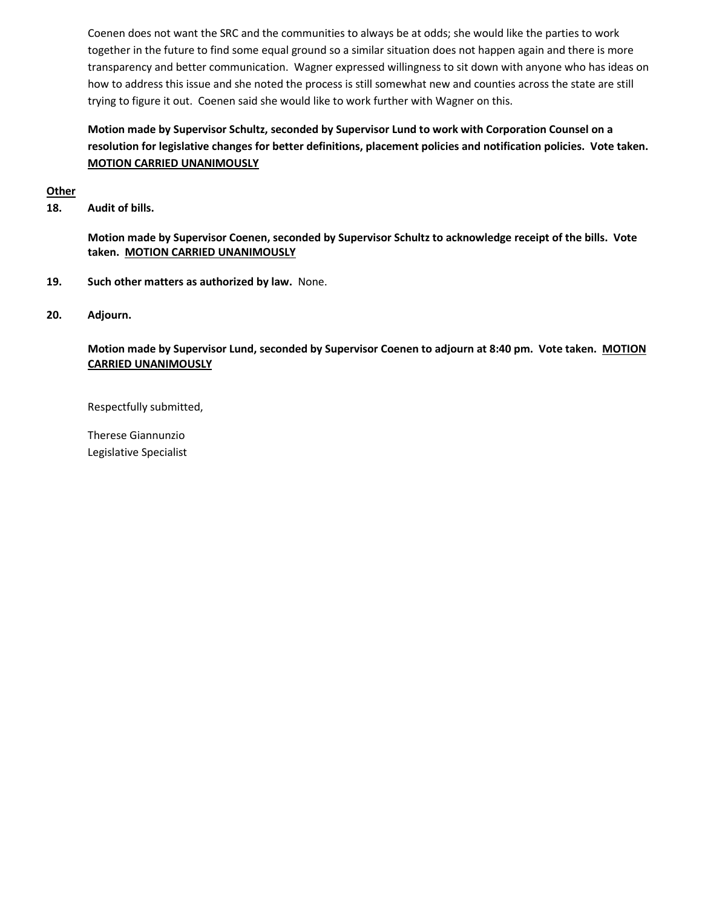Coenen does not want the SRC and the communities to always be at odds; she would like the parties to work together in the future to find some equal ground so a similar situation does not happen again and there is more transparency and better communication. Wagner expressed willingness to sit down with anyone who has ideas on how to address this issue and she noted the process is still somewhat new and counties across the state are still trying to figure it out. Coenen said she would like to work further with Wagner on this.

# **Motion made by Supervisor Schultz, seconded by Supervisor Lund to work with Corporation Counsel on a resolution for legislative changes for better definitions, placement policies and notification policies. Vote taken. MOTION CARRIED UNANIMOUSLY**

#### **Other**

**18. Audit of bills.**

**Motion made by Supervisor Coenen, seconded by Supervisor Schultz to acknowledge receipt of the bills. Vote taken. MOTION CARRIED UNANIMOUSLY**

- **19. Such other matters as authorized by law.** None.
- **20. Adjourn.**

**Motion made by Supervisor Lund, seconded by Supervisor Coenen to adjourn at 8:40 pm. Vote taken. MOTION CARRIED UNANIMOUSLY**

Respectfully submitted,

Therese Giannunzio Legislative Specialist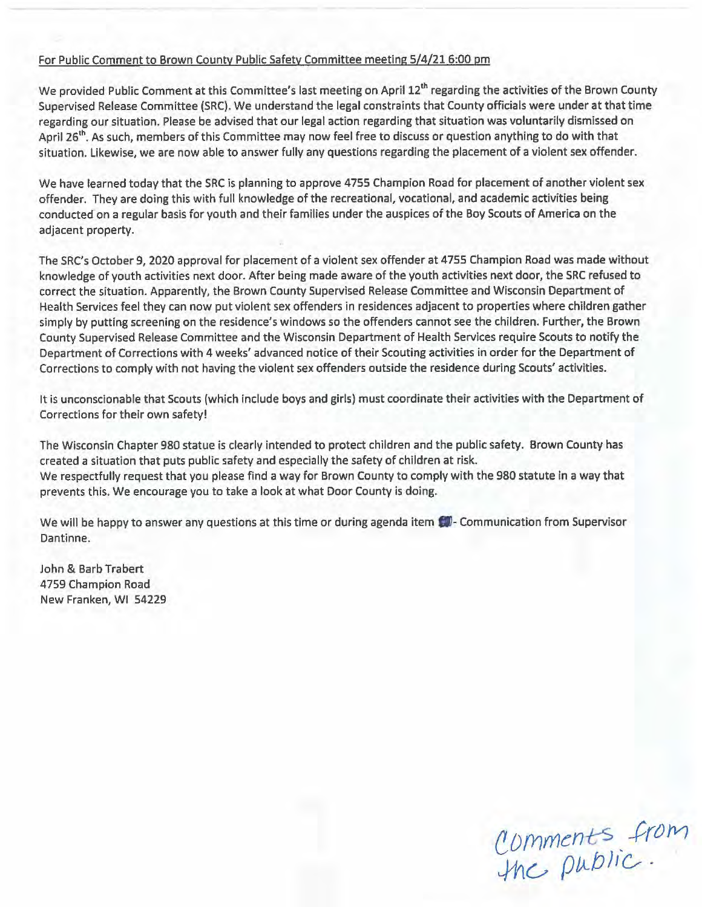# For Public Comment to Brown County Public Safety Committee meeting 5/4/21 6:00 pm

We provided Public Comment at this Committee's last meeting on April 12<sup>th</sup> regarding the activities of the Brown County Supervised Release Committee (SRC). We understand the legal constraints that County officials were under at that time regarding our situation. Please be advised that our legal action regarding that situation was voluntarily dismissed on April 26<sup>th</sup>. As such, members of this Committee may now feel free to discuss or question anything to do with that situation. Likewise, we are now able to answer fully any questions regarding the placement of a violent sex offender.

We have learned today that the SRC is planning to approve 4755 Champion Road for placement of another violent sex offender. They are doing this with full knowledge of the recreational, vocational, and academic activities being conducted on a regular basis for youth and their families under the auspices of the Boy Scouts of America on the adjacent property.

The SRC's October 9, 2020 approval for placement of a violent sex offender at 4755 Champion Road was made without knowledge of youth activities next door. After being made aware of the youth activities next door, the SRC refused to correct the situation. Apparently, the Brown County Supervised Release Committee and Wisconsin Department of Health Services feel they can now put violent sex offenders in residences adjacent to properties where children gather simply by putting screening on the residence's windows so the offenders cannot see the children. Further, the Brown County Supervised Release Committee and the Wisconsin Department of Health Services require Scouts to notify the Department of Corrections with 4 weeks' advanced notice of their Scouting activities in order for the Department of Corrections to comply with not having the violent sex offenders outside the residence during Scouts' activities.

It is unconscionable that Scouts (which include boys and girls) must coordinate their activities with the Department of Corrections for their own safety!

The Wisconsin Chapter 980 statue is clearly intended to protect children and the public safety. Brown County has created a situation that puts public safety and especially the safety of children at risk. We respectfully request that you please find a way for Brown County to comply with the 980 statute in a way that prevents this. We encourage you to take a look at what Door County is doing.

We will be happy to answer any questions at this time or during agenda item  $\Box$  - Communication from Supervisor Dantinne.

John & Barb Trabert 4759 Champion Road New Franken, WI 54229

Comments from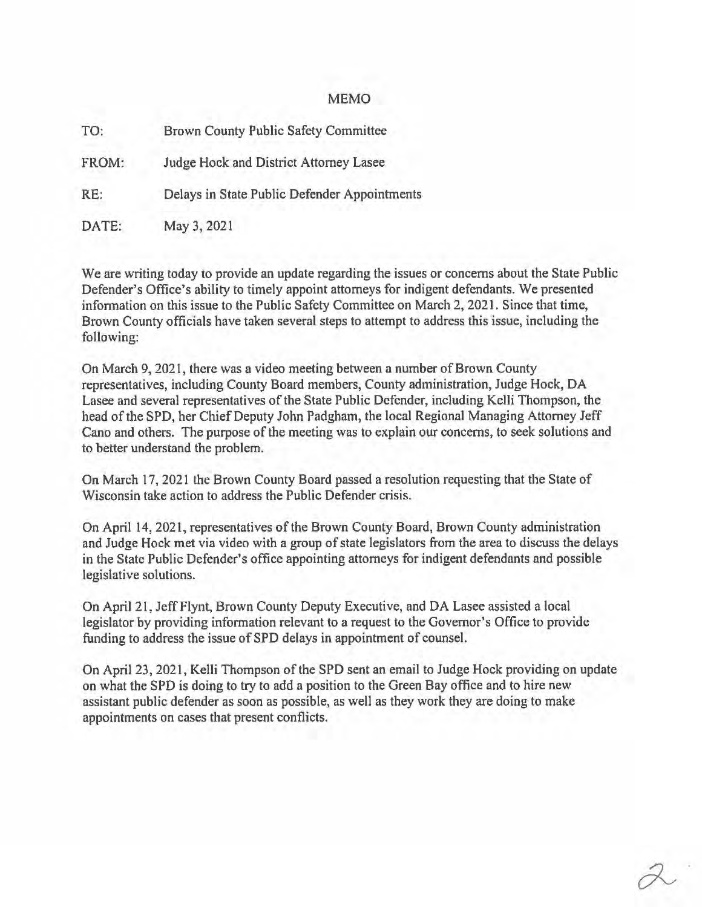#### MEMO

| TO:   | Brown County Public Safety Committee         |  |  |  |  |
|-------|----------------------------------------------|--|--|--|--|
| FROM: | Judge Hock and District Attorney Lasee       |  |  |  |  |
| RE:   | Delays in State Public Defender Appointments |  |  |  |  |
| DATE: | May 3, 2021                                  |  |  |  |  |

We are writing today to provide an update regarding the issues or concerns about the State Public Defender's Office's ability to timely appoint attorneys for indigent defendants. We presented infonnation on this issue to the Public Safety Committee on March 2, 2021. Since that time, Brown County officials have taken several steps to attempt to address this issue, including the following:

On March 9, 2021, there was a video meeting between a number of Brown County representatives, including County Board members, County administration, Judge Hock, DA Lasee and several representatives of the State Public Defender, including Kelli Thompson, the head of the SPD, her Chief Deputy John Padgham, the local Regional Managing Attorney Jeff Cano and others. The purpose of the meeting was to explain our concerns, to seek solutions and to better understand the problem.

On March 17, 2021 the Brown County Board passed a resolution requesting that the State of Wisconsin take action to address the Public Defender crisis.

On April 14, 2021, representatives of the Brown County Board, Brown County administration and Judge Hock met via video with a group of state legislators from the area to discuss the delays in the State Public Defender's office appointing attorneys for indigent defendants and possible legislative solutions.

On April 21, Jeff Flynt, Brown County Deputy Executive, and DA Lasee assisted a local legislator by providing information relevant to a request to the Governor's Office to provide funding to address the issue of SPD delays in appointment of counsel.

On April 23, 2021, Kelli Thompson of the SPD sent an email to Judge Hock providing on update on what the SPD is doing to try to add a position to the Green Bay office and to hire new assistant public defender as soon as possible, as well as they work they are doing to make appointments on cases that present conflicts.